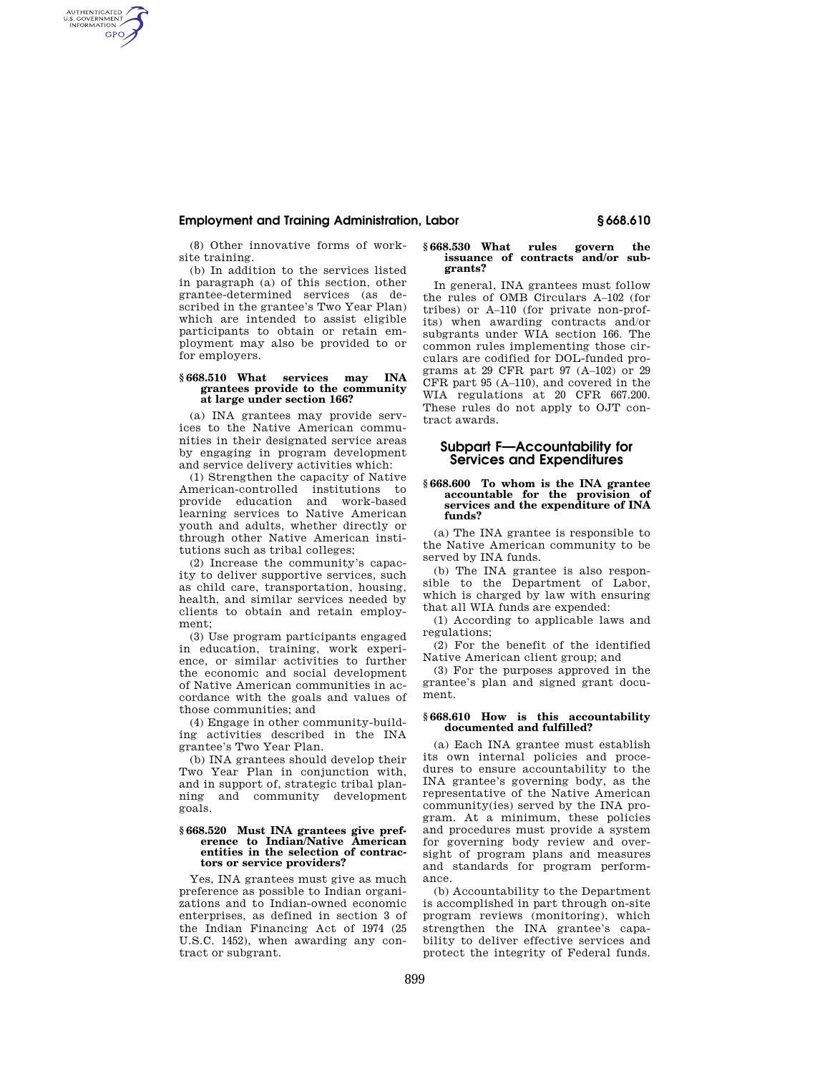# **Employment and Training Administration, Labor § 668.610**

(8) Other innovative forms of worksite training.

AUTHENTICATED<br>U.S. GOVERNMENT<br>INFORMATION **GPO** 

> (b) In addition to the services listed in paragraph (a) of this section, other grantee-determined services (as described in the grantee's Two Year Plan) which are intended to assist eligible participants to obtain or retain employment may also be provided to or for employers.

### **§ 668.510 What services may INA grantees provide to the community at large under section 166?**

(a) INA grantees may provide services to the Native American communities in their designated service areas by engaging in program development and service delivery activities which:

(1) Strengthen the capacity of Native American-controlled institutions to provide education and work-based learning services to Native American youth and adults, whether directly or through other Native American institutions such as tribal colleges;

(2) Increase the community's capacity to deliver supportive services, such as child care, transportation, housing, health, and similar services needed by clients to obtain and retain employment;

(3) Use program participants engaged in education, training, work experience, or similar activities to further the economic and social development of Native American communities in accordance with the goals and values of those communities; and

(4) Engage in other community-building activities described in the INA grantee's Two Year Plan.

(b) INA grantees should develop their Two Year Plan in conjunction with, and in support of, strategic tribal planning and community development goals.

#### **§ 668.520 Must INA grantees give preference to Indian/Native American entities in the selection of contractors or service providers?**

Yes, INA grantees must give as much preference as possible to Indian organizations and to Indian-owned economic enterprises, as defined in section 3 of the Indian Financing Act of 1974 (25 U.S.C. 1452), when awarding any contract or subgrant.

#### **§ 668.530 What rules govern the issuance of contracts and/or subgrants?**

In general, INA grantees must follow the rules of OMB Circulars A–102 (for tribes) or A–110 (for private non-profits) when awarding contracts and/or subgrants under WIA section 166. The common rules implementing those circulars are codified for DOL-funded programs at 29 CFR part 97 (A–102) or 29 CFR part 95 (A–110), and covered in the WIA regulations at 20 CFR 667.200. These rules do not apply to OJT contract awards.

# **Subpart F—Accountability for Services and Expenditures**

#### **§ 668.600 To whom is the INA grantee accountable for the provision of services and the expenditure of INA funds?**

(a) The INA grantee is responsible to the Native American community to be served by INA funds.

(b) The INA grantee is also responsible to the Department of Labor, which is charged by law with ensuring that all WIA funds are expended:

(1) According to applicable laws and regulations;

(2) For the benefit of the identified Native American client group; and

(3) For the purposes approved in the grantee's plan and signed grant document.

## **§ 668.610 How is this accountability documented and fulfilled?**

(a) Each INA grantee must establish its own internal policies and procedures to ensure accountability to the INA grantee's governing body, as the representative of the Native American community(ies) served by the INA program. At a minimum, these policies and procedures must provide a system for governing body review and oversight of program plans and measures and standards for program performance.

(b) Accountability to the Department is accomplished in part through on-site program reviews (monitoring), which strengthen the INA grantee's capability to deliver effective services and protect the integrity of Federal funds.